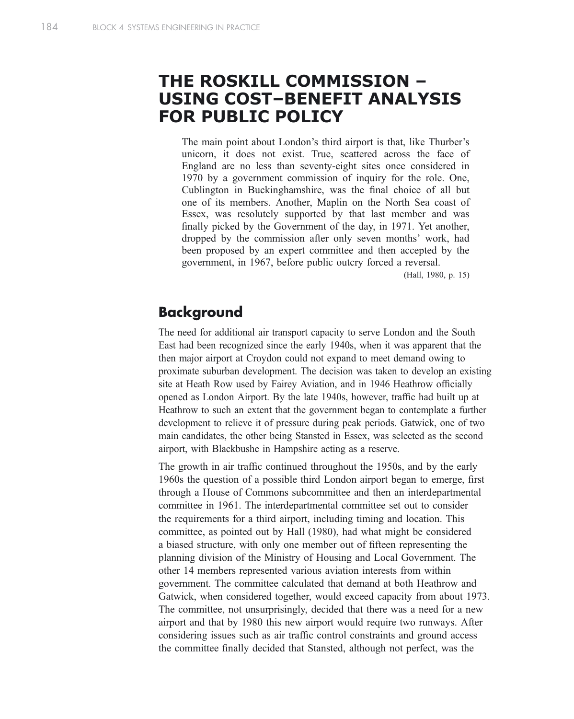# THE ROSKILL COMMISSION – USING COST–BENEFIT ANALYSIS FOR PUBLIC POLICY

The main point about London's third airport is that, like Thurber's unicorn, it does not exist. True, scattered across the face of England are no less than seventy-eight sites once considered in 1970 by a government commission of inquiry for the role. One, Cublington in Buckinghamshire, was the final choice of all but one of its members. Another, Maplin on the North Sea coast of Essex, was resolutely supported by that last member and was finally picked by the Government of the day, in 1971. Yet another, dropped by the commission after only seven months' work, had been proposed by an expert committee and then accepted by the government, in 1967, before public outcry forced a reversal.

(Hall, 1980, p. 15)

### Background

The need for additional air transport capacity to serve London and the South East had been recognized since the early 1940s, when it was apparent that the then major airport at Croydon could not expand to meet demand owing to proximate suburban development. The decision was taken to develop an existing site at Heath Row used by Fairey Aviation, and in 1946 Heathrow officially opened as London Airport. By the late 1940s, however, traffic had built up at Heathrow to such an extent that the government began to contemplate a further development to relieve it of pressure during peak periods. Gatwick, one of two main candidates, the other being Stansted in Essex, was selected as the second airport, with Blackbushe in Hampshire acting as a reserve.

The growth in air traffic continued throughout the 1950s, and by the early 1960s the question of a possible third London airport began to emerge, first through a House of Commons subcommittee and then an interdepartmental committee in 1961. The interdepartmental committee set out to consider the requirements for a third airport, including timing and location. This committee, as pointed out by Hall (1980), had what might be considered a biased structure, with only one member out of fifteen representing the planning division of the Ministry of Housing and Local Government. The other 14 members represented various aviation interests from within government. The committee calculated that demand at both Heathrow and Gatwick, when considered together, would exceed capacity from about 1973. The committee, not unsurprisingly, decided that there was a need for a new airport and that by 1980 this new airport would require two runways. After considering issues such as air traffic control constraints and ground access the committee finally decided that Stansted, although not perfect, was the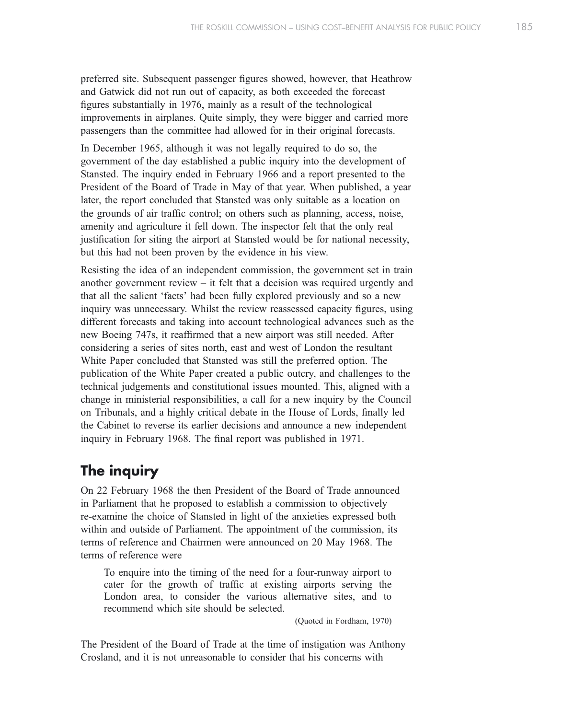preferred site. Subsequent passenger figures showed, however, that Heathrow and Gatwick did not run out of capacity, as both exceeded the forecast figures substantially in 1976, mainly as a result of the technological improvements in airplanes. Quite simply, they were bigger and carried more passengers than the committee had allowed for in their original forecasts.

In December 1965, although it was not legally required to do so, the government of the day established a public inquiry into the development of Stansted. The inquiry ended in February 1966 and a report presented to the President of the Board of Trade in May of that year. When published, a year later, the report concluded that Stansted was only suitable as a location on the grounds of air traffic control; on others such as planning, access, noise, amenity and agriculture it fell down. The inspector felt that the only real justification for siting the airport at Stansted would be for national necessity, but this had not been proven by the evidence in his view.

Resisting the idea of an independent commission, the government set in train another government review – it felt that a decision was required urgently and that all the salient 'facts' had been fully explored previously and so a new inquiry was unnecessary. Whilst the review reassessed capacity figures, using different forecasts and taking into account technological advances such as the new Boeing 747s, it reaffirmed that a new airport was still needed. After considering a series of sites north, east and west of London the resultant White Paper concluded that Stansted was still the preferred option. The publication of the White Paper created a public outcry, and challenges to the technical judgements and constitutional issues mounted. This, aligned with a change in ministerial responsibilities, a call for a new inquiry by the Council on Tribunals, and a highly critical debate in the House of Lords, finally led the Cabinet to reverse its earlier decisions and announce a new independent inquiry in February 1968. The final report was published in 1971.

### The inquiry

On 22 February 1968 the then President of the Board of Trade announced in Parliament that he proposed to establish a commission to objectively re-examine the choice of Stansted in light of the anxieties expressed both within and outside of Parliament. The appointment of the commission, its terms of reference and Chairmen were announced on 20 May 1968. The terms of reference were

To enquire into the timing of the need for a four-runway airport to cater for the growth of traffic at existing airports serving the London area, to consider the various alternative sites, and to recommend which site should be selected.

(Quoted in Fordham, 1970)

The President of the Board of Trade at the time of instigation was Anthony Crosland, and it is not unreasonable to consider that his concerns with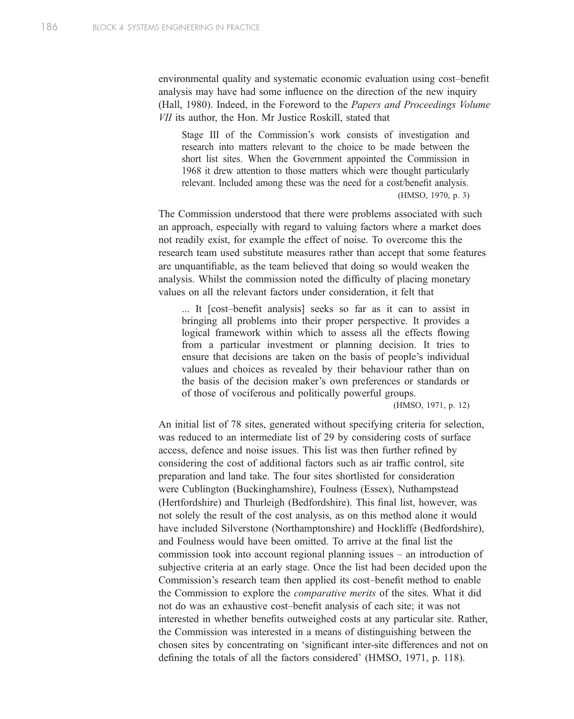environmental quality and systematic economic evaluation using cost–benefit analysis may have had some influence on the direction of the new inquiry (Hall, 1980). Indeed, in the Foreword to the Papers and Proceedings Volume VII its author, the Hon. Mr Justice Roskill, stated that

Stage III of the Commission's work consists of investigation and research into matters relevant to the choice to be made between the short list sites. When the Government appointed the Commission in 1968 it drew attention to those matters which were thought particularly relevant. Included among these was the need for a cost/benefit analysis. (HMSO, 1970, p. 3)

The Commission understood that there were problems associated with such an approach, especially with regard to valuing factors where a market does not readily exist, for example the effect of noise. To overcome this the research team used substitute measures rather than accept that some features are unquantifiable, as the team believed that doing so would weaken the analysis. Whilst the commission noted the difficulty of placing monetary values on all the relevant factors under consideration, it felt that

... It [cost–benefit analysis] seeks so far as it can to assist in bringing all problems into their proper perspective. It provides a logical framework within which to assess all the effects flowing from a particular investment or planning decision. It tries to ensure that decisions are taken on the basis of people's individual values and choices as revealed by their behaviour rather than on the basis of the decision maker's own preferences or standards or of those of vociferous and politically powerful groups.

(HMSO, 1971, p. 12)

An initial list of 78 sites, generated without specifying criteria for selection, was reduced to an intermediate list of 29 by considering costs of surface access, defence and noise issues. This list was then further refined by considering the cost of additional factors such as air traffic control, site preparation and land take. The four sites shortlisted for consideration were Cublington (Buckinghamshire), Foulness (Essex), Nuthampstead (Hertfordshire) and Thurleigh (Bedfordshire). This final list, however, was not solely the result of the cost analysis, as on this method alone it would have included Silverstone (Northamptonshire) and Hockliffe (Bedfordshire), and Foulness would have been omitted. To arrive at the final list the commission took into account regional planning issues – an introduction of subjective criteria at an early stage. Once the list had been decided upon the Commission's research team then applied its cost–benefit method to enable the Commission to explore the comparative merits of the sites. What it did not do was an exhaustive cost–benefit analysis of each site; it was not interested in whether benefits outweighed costs at any particular site. Rather, the Commission was interested in a means of distinguishing between the chosen sites by concentrating on 'significant inter-site differences and not on defining the totals of all the factors considered' (HMSO, 1971, p. 118).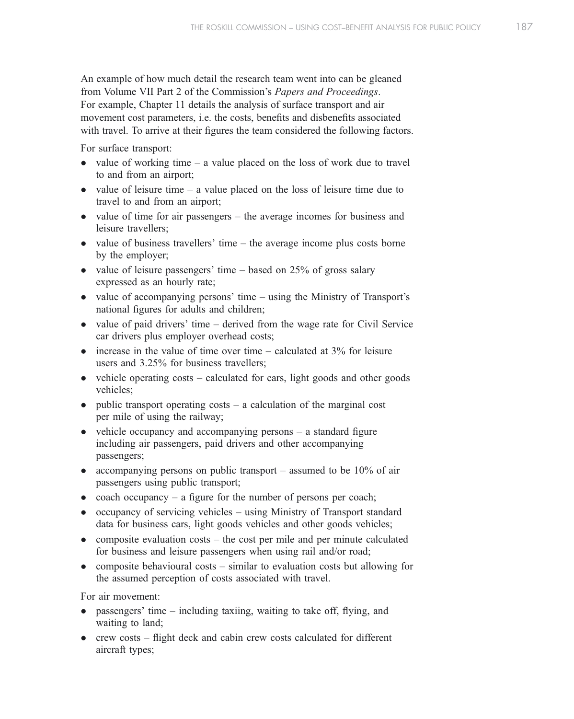An example of how much detail the research team went into can be gleaned from Volume VII Part 2 of the Commission's Papers and Proceedings. For example, Chapter 11 details the analysis of surface transport and air movement cost parameters, i.e. the costs, benefits and disbenefits associated with travel. To arrive at their figures the team considered the following factors.

For surface transport:

- value of working time a value placed on the loss of work due to travel to and from an airport;
- value of leisure time a value placed on the loss of leisure time due to travel to and from an airport;
- $\bullet$  value of time for air passengers the average incomes for business and leisure travellers;
- value of business travellers' time the average income plus costs borne by the employer;
- value of leisure passengers' time based on  $25\%$  of gross salary expressed as an hourly rate;
- $\bullet$  value of accompanying persons' time using the Ministry of Transport's national figures for adults and children;
- $\bullet$  value of paid drivers' time derived from the wage rate for Civil Service car drivers plus employer overhead costs;
- $\bullet$  increase in the value of time over time calculated at 3% for leisure users and 3.25% for business travellers;
- $\bullet$  vehicle operating costs calculated for cars, light goods and other goods vehicles;
- public transport operating costs a calculation of the marginal cost per mile of using the railway;
- $\bullet$  vehicle occupancy and accompanying persons a standard figure including air passengers, paid drivers and other accompanying passengers;
- accompanying persons on public transport assumed to be  $10\%$  of air passengers using public transport;
- coach occupancy a figure for the number of persons per coach;
- occupancy of servicing vehicles using Ministry of Transport standard data for business cars, light goods vehicles and other goods vehicles;
- composite evaluation costs the cost per mile and per minute calculated for business and leisure passengers when using rail and/or road;
- $\bullet$  composite behavioural costs similar to evaluation costs but allowing for the assumed perception of costs associated with travel.

For air movement:

- $\bullet$  passengers' time including taxiing, waiting to take off, flying, and waiting to land;
- $\bullet$  crew costs flight deck and cabin crew costs calculated for different aircraft types;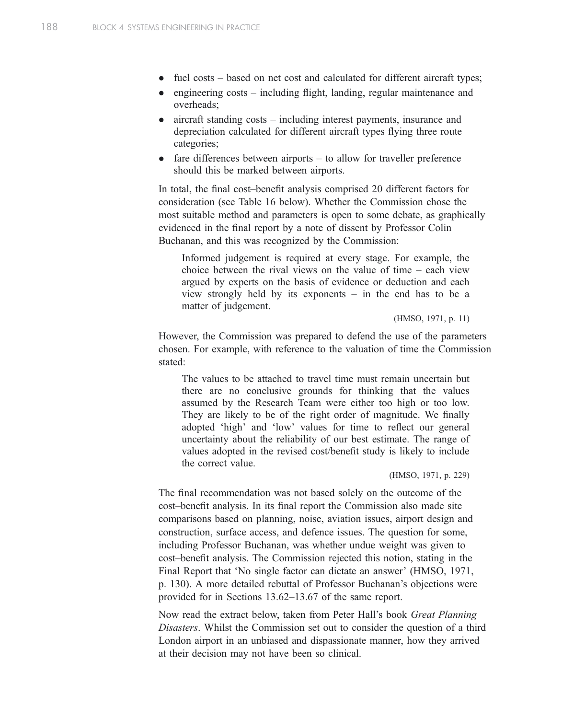- $\bullet$  fuel costs based on net cost and calculated for different aircraft types;
- $\bullet$  engineering costs including flight, landing, regular maintenance and overheads;
- $\bullet$  aircraft standing costs including interest payments, insurance and depreciation calculated for different aircraft types flying three route categories;
- $\bullet$  fare differences between airports to allow for traveller preference should this be marked between airports.

In total, the final cost–benefit analysis comprised 20 different factors for consideration (see Table 16 below). Whether the Commission chose the most suitable method and parameters is open to some debate, as graphically evidenced in the final report by a note of dissent by Professor Colin Buchanan, and this was recognized by the Commission:

Informed judgement is required at every stage. For example, the choice between the rival views on the value of time – each view argued by experts on the basis of evidence or deduction and each view strongly held by its exponents – in the end has to be a matter of judgement.

(HMSO, 1971, p. 11)

However, the Commission was prepared to defend the use of the parameters chosen. For example, with reference to the valuation of time the Commission stated:

The values to be attached to travel time must remain uncertain but there are no conclusive grounds for thinking that the values assumed by the Research Team were either too high or too low. They are likely to be of the right order of magnitude. We finally adopted 'high' and 'low' values for time to reflect our general uncertainty about the reliability of our best estimate. The range of values adopted in the revised cost/benefit study is likely to include the correct value.

(HMSO, 1971, p. 229)

The final recommendation was not based solely on the outcome of the cost–benefit analysis. In its final report the Commission also made site comparisons based on planning, noise, aviation issues, airport design and construction, surface access, and defence issues. The question for some, including Professor Buchanan, was whether undue weight was given to cost–benefit analysis. The Commission rejected this notion, stating in the Final Report that 'No single factor can dictate an answer' (HMSO, 1971, p. 130). A more detailed rebuttal of Professor Buchanan's objections were provided for in Sections 13.62–13.67 of the same report.

Now read the extract below, taken from Peter Hall's book Great Planning Disasters. Whilst the Commission set out to consider the question of a third London airport in an unbiased and dispassionate manner, how they arrived at their decision may not have been so clinical.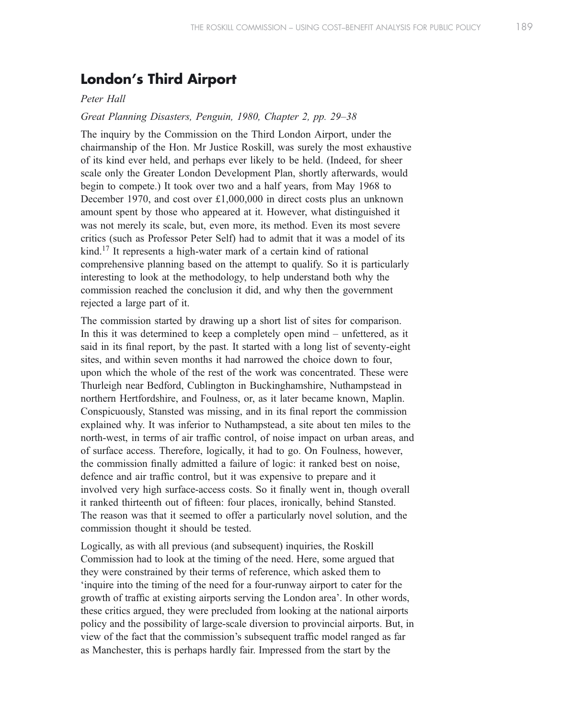### London's Third Airport

#### Peter Hall

#### Great Planning Disasters, Penguin, 1980, Chapter 2, pp. 29–38

The inquiry by the Commission on the Third London Airport, under the chairmanship of the Hon. Mr Justice Roskill, was surely the most exhaustive of its kind ever held, and perhaps ever likely to be held. (Indeed, for sheer scale only the Greater London Development Plan, shortly afterwards, would begin to compete.) It took over two and a half years, from May 1968 to December 1970, and cost over £1,000,000 in direct costs plus an unknown amount spent by those who appeared at it. However, what distinguished it was not merely its scale, but, even more, its method. Even its most severe critics (such as Professor Peter Self) had to admit that it was a model of its kind.17 It represents a high-water mark of a certain kind of rational comprehensive planning based on the attempt to qualify. So it is particularly interesting to look at the methodology, to help understand both why the commission reached the conclusion it did, and why then the government rejected a large part of it.

The commission started by drawing up a short list of sites for comparison. In this it was determined to keep a completely open mind – unfettered, as it said in its final report, by the past. It started with a long list of seventy-eight sites, and within seven months it had narrowed the choice down to four, upon which the whole of the rest of the work was concentrated. These were Thurleigh near Bedford, Cublington in Buckinghamshire, Nuthampstead in northern Hertfordshire, and Foulness, or, as it later became known, Maplin. Conspicuously, Stansted was missing, and in its final report the commission explained why. It was inferior to Nuthampstead, a site about ten miles to the north-west, in terms of air traffic control, of noise impact on urban areas, and of surface access. Therefore, logically, it had to go. On Foulness, however, the commission finally admitted a failure of logic: it ranked best on noise, defence and air traffic control, but it was expensive to prepare and it involved very high surface-access costs. So it finally went in, though overall it ranked thirteenth out of fifteen: four places, ironically, behind Stansted. The reason was that it seemed to offer a particularly novel solution, and the commission thought it should be tested.

Logically, as with all previous (and subsequent) inquiries, the Roskill Commission had to look at the timing of the need. Here, some argued that they were constrained by their terms of reference, which asked them to 'inquire into the timing of the need for a four-runway airport to cater for the growth of traffic at existing airports serving the London area'. In other words, these critics argued, they were precluded from looking at the national airports policy and the possibility of large-scale diversion to provincial airports. But, in view of the fact that the commission's subsequent traffic model ranged as far as Manchester, this is perhaps hardly fair. Impressed from the start by the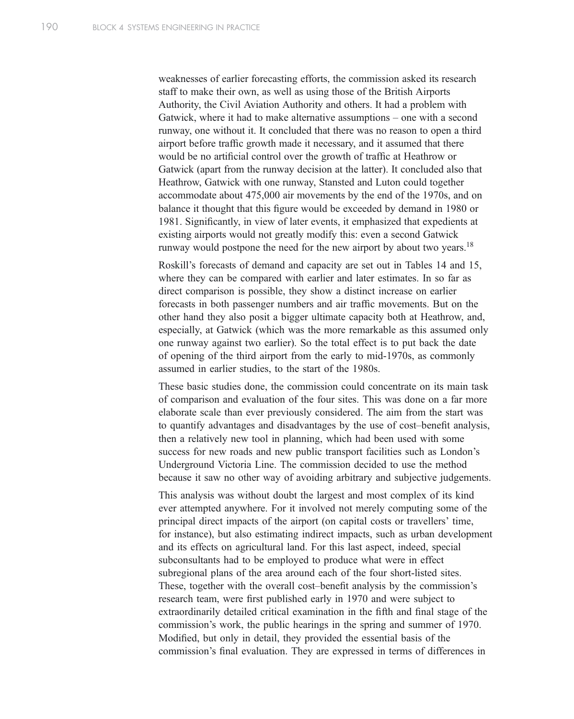weaknesses of earlier forecasting efforts, the commission asked its research staff to make their own, as well as using those of the British Airports Authority, the Civil Aviation Authority and others. It had a problem with Gatwick, where it had to make alternative assumptions – one with a second runway, one without it. It concluded that there was no reason to open a third airport before traffic growth made it necessary, and it assumed that there would be no artificial control over the growth of traffic at Heathrow or Gatwick (apart from the runway decision at the latter). It concluded also that Heathrow, Gatwick with one runway, Stansted and Luton could together accommodate about 475,000 air movements by the end of the 1970s, and on balance it thought that this figure would be exceeded by demand in 1980 or 1981. Significantly, in view of later events, it emphasized that expedients at existing airports would not greatly modify this: even a second Gatwick runway would postpone the need for the new airport by about two years.<sup>18</sup>

Roskill's forecasts of demand and capacity are set out in Tables 14 and 15, where they can be compared with earlier and later estimates. In so far as direct comparison is possible, they show a distinct increase on earlier forecasts in both passenger numbers and air traffic movements. But on the other hand they also posit a bigger ultimate capacity both at Heathrow, and, especially, at Gatwick (which was the more remarkable as this assumed only one runway against two earlier). So the total effect is to put back the date of opening of the third airport from the early to mid-1970s, as commonly assumed in earlier studies, to the start of the 1980s.

These basic studies done, the commission could concentrate on its main task of comparison and evaluation of the four sites. This was done on a far more elaborate scale than ever previously considered. The aim from the start was to quantify advantages and disadvantages by the use of cost–benefit analysis, then a relatively new tool in planning, which had been used with some success for new roads and new public transport facilities such as London's Underground Victoria Line. The commission decided to use the method because it saw no other way of avoiding arbitrary and subjective judgements.

This analysis was without doubt the largest and most complex of its kind ever attempted anywhere. For it involved not merely computing some of the principal direct impacts of the airport (on capital costs or travellers' time, for instance), but also estimating indirect impacts, such as urban development and its effects on agricultural land. For this last aspect, indeed, special subconsultants had to be employed to produce what were in effect subregional plans of the area around each of the four short-listed sites. These, together with the overall cost–benefit analysis by the commission's research team, were first published early in 1970 and were subject to extraordinarily detailed critical examination in the fifth and final stage of the commission's work, the public hearings in the spring and summer of 1970. Modified, but only in detail, they provided the essential basis of the commission's final evaluation. They are expressed in terms of differences in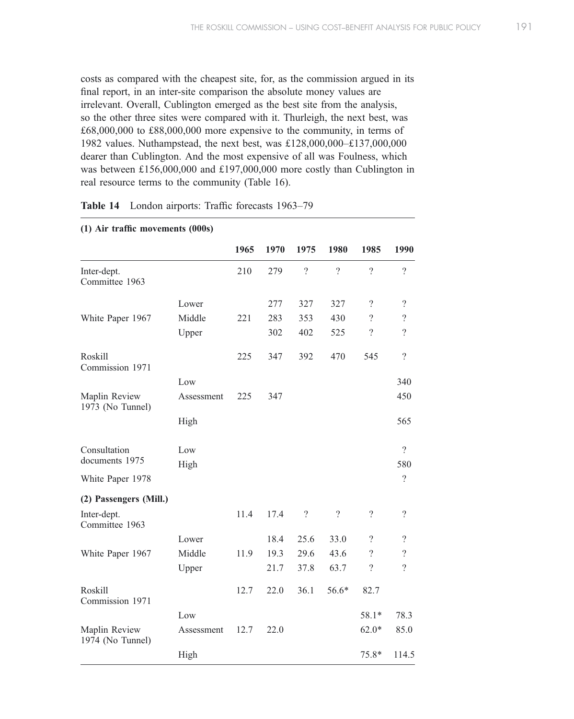costs as compared with the cheapest site, for, as the commission argued in its final report, in an inter-site comparison the absolute money values are irrelevant. Overall, Cublington emerged as the best site from the analysis, so the other three sites were compared with it. Thurleigh, the next best, was £68,000,000 to £88,000,000 more expensive to the community, in terms of 1982 values. Nuthampstead, the next best, was £128,000,000–£137,000,000 dearer than Cublington. And the most expensive of all was Foulness, which was between £156,000,000 and £197,000,000 more costly than Cublington in real resource terms to the community (Table 16).

|                                   |            | 1965 | 1970 | 1975                     | 1980           | 1985                     | 1990                     |
|-----------------------------------|------------|------|------|--------------------------|----------------|--------------------------|--------------------------|
| Inter-dept.<br>Committee 1963     |            | 210  | 279  | $\overline{\phantom{a}}$ | $\gamma$       | $\overline{?}$           | $\overline{\mathcal{L}}$ |
|                                   | Lower      |      | 277  | 327                      | 327            | $\overline{\mathcal{L}}$ | $\ddot{?}$               |
| White Paper 1967                  | Middle     | 221  | 283  | 353                      | 430            | $\overline{\mathcal{L}}$ | $\overline{\mathcal{L}}$ |
|                                   | Upper      |      | 302  | 402                      | 525            | $\overline{?}$           | $\overline{\mathcal{L}}$ |
| Roskill<br>Commission 1971        |            | 225  | 347  | 392                      | 470            | 545                      | $\overline{?}$           |
|                                   | Low        |      |      |                          |                |                          | 340                      |
| Maplin Review<br>1973 (No Tunnel) | Assessment | 225  | 347  |                          |                |                          | 450                      |
|                                   | High       |      |      |                          |                |                          | 565                      |
| Consultation                      | Low        |      |      |                          |                |                          | $\overline{?}$           |
| documents 1975                    | High       |      |      |                          |                |                          | 580                      |
| White Paper 1978                  |            |      |      |                          |                |                          | $\overline{?}$           |
| (2) Passengers (Mill.)            |            |      |      |                          |                |                          |                          |
| Inter-dept.<br>Committee 1963     |            | 11.4 | 17.4 | $\boldsymbol{?}$         | $\overline{?}$ | $\overline{\mathcal{L}}$ | $\overline{\mathcal{L}}$ |
|                                   | Lower      |      | 18.4 | 25.6                     | 33.0           | $\overline{\phantom{a}}$ | $\ddot{?}$               |
| White Paper 1967                  | Middle     | 11.9 | 19.3 | 29.6                     | 43.6           | $\ddot{?}$               | $\overline{\mathcal{L}}$ |
|                                   | Upper      |      | 21.7 | 37.8                     | 63.7           | $\overline{\mathcal{L}}$ | $\overline{?}$           |
| Roskill<br>Commission 1971        |            | 12.7 | 22.0 | 36.1                     | 56.6*          | 82.7                     |                          |
|                                   | Low        |      |      |                          |                | 58.1*                    | 78.3                     |
| Maplin Review<br>1974 (No Tunnel) | Assessment | 12.7 | 22.0 |                          |                | $62.0*$                  | 85.0                     |
|                                   | High       |      |      |                          |                | 75.8*                    | 114.5                    |

#### Table 14 London airports: Traffic forecasts 1963–79

(1) Air traffic movements (000s)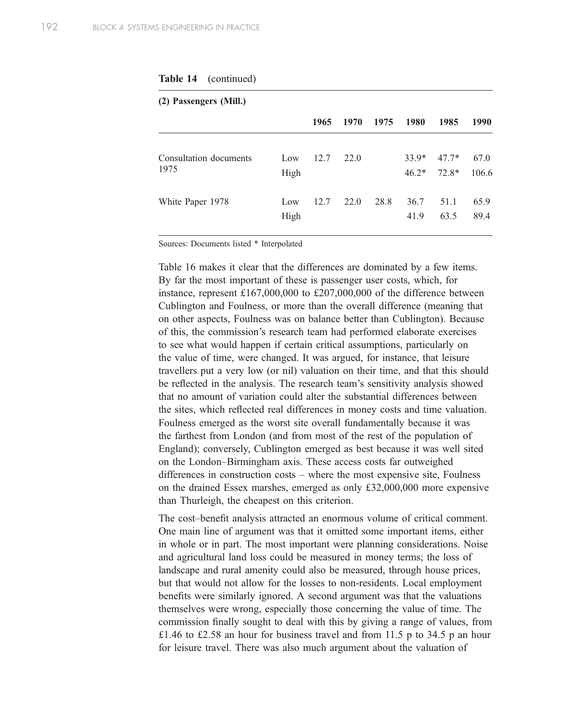| $(2)$ assembers $(1)$          |             |      |      |      |                    |                    |               |
|--------------------------------|-------------|------|------|------|--------------------|--------------------|---------------|
|                                |             | 1965 | 1970 | 1975 | 1980               | 1985               | 1990          |
| Consultation documents<br>1975 | Low<br>High | 12.7 | 22.0 |      | $33.9*$<br>$46.2*$ | $47.7*$<br>$72.8*$ | 67.0<br>106.6 |
| White Paper 1978               | Low<br>High | 12.7 | 22.0 | 28.8 | 36.7<br>41.9       | 51.1<br>63.5       | 65.9<br>89.4  |

| Table 14 | (continued) |
|----------|-------------|
|----------|-------------|

(2) Passengers (Mill.)

Sources: Documents listed \* Interpolated

Table 16 makes it clear that the differences are dominated by a few items. By far the most important of these is passenger user costs, which, for instance, represent £167,000,000 to £207,000,000 of the difference between Cublington and Foulness, or more than the overall difference (meaning that on other aspects, Foulness was on balance better than Cublington). Because of this, the commission's research team had performed elaborate exercises to see what would happen if certain critical assumptions, particularly on the value of time, were changed. It was argued, for instance, that leisure travellers put a very low (or nil) valuation on their time, and that this should be reflected in the analysis. The research team's sensitivity analysis showed that no amount of variation could alter the substantial differences between the sites, which reflected real differences in money costs and time valuation. Foulness emerged as the worst site overall fundamentally because it was the farthest from London (and from most of the rest of the population of England); conversely, Cublington emerged as best because it was well sited on the London–Birmingham axis. These access costs far outweighed differences in construction costs – where the most expensive site, Foulness on the drained Essex marshes, emerged as only £32,000,000 more expensive than Thurleigh, the cheapest on this criterion.

The cost–benefit analysis attracted an enormous volume of critical comment. One main line of argument was that it omitted some important items, either in whole or in part. The most important were planning considerations. Noise and agricultural land loss could be measured in money terms; the loss of landscape and rural amenity could also be measured, through house prices, but that would not allow for the losses to non-residents. Local employment benefits were similarly ignored. A second argument was that the valuations themselves were wrong, especially those concerning the value of time. The commission finally sought to deal with this by giving a range of values, from £1.46 to £2.58 an hour for business travel and from 11.5 p to 34.5 p an hour for leisure travel. There was also much argument about the valuation of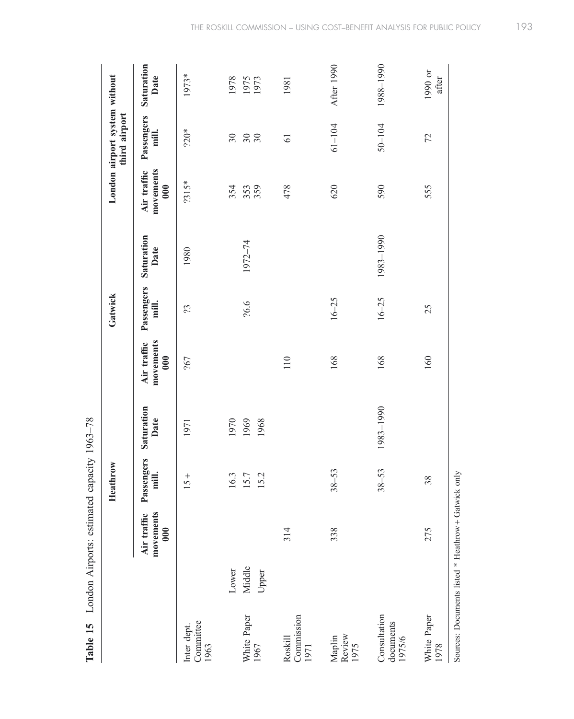|                                                     |                 |                                 | Heathrow                              |                    |                                 | Gatwick                                 |                    |                                 | London airport system without<br>third airport |                    |
|-----------------------------------------------------|-----------------|---------------------------------|---------------------------------------|--------------------|---------------------------------|-----------------------------------------|--------------------|---------------------------------|------------------------------------------------|--------------------|
|                                                     |                 | movements<br>Air traffic<br>000 | Passengers<br>$\overline{\mathbf{u}}$ | Saturation<br>Date | movements<br>Air traffic<br>000 | Passengers<br>$\overline{\mathbb{H}}$ . | Saturation<br>Date | movements<br>Air traffic<br>000 | Passengers<br>$\overline{\mathbf{m}}$ .        | Saturation<br>Date |
| Committee<br>Inter dept.<br>1963                    |                 |                                 | $15 +$                                | 1971               | ?67                             | $\tilde{\omega}$                        | 1980               | ?315*                           | $720*$                                         | 1973*              |
|                                                     | Lower           |                                 | 16.3                                  | 1970               |                                 |                                         |                    | 354                             | $30\,$                                         | 1978               |
| White Paper<br>1967                                 | Middle<br>Upper |                                 | 15.2<br>15.7                          | 1969<br>1968       |                                 | 9.96                                    | 1972-74            | 353                             | $\frac{30}{5}$                                 | 1975<br>1973       |
| Commission<br>Roskill<br>1971                       |                 | 314                             |                                       |                    | 110                             |                                         |                    | 478                             | $\overline{61}$                                | 1981               |
| Review<br>1975<br>Maplin                            |                 | 338                             | $38 - 53$                             |                    | 168                             | $16 - 25$                               |                    | 620                             | $61 - 104$                                     | After 1990         |
| Consultation<br>documents<br>1975/6                 |                 |                                 | $38 - 53$                             | 1983-1990          | 168                             | $16 - 25$                               | 1983-1990          | 590                             | $50 - 104$                                     | 1988-1990          |
| White Paper<br>1978                                 |                 | 275                             | 38                                    |                    | 160                             | 25                                      |                    | 555                             | 72                                             | 1990 or<br>after   |
| Sources: Documents listed * Heathrow + Gatwick only |                 |                                 |                                       |                    |                                 |                                         |                    |                                 |                                                |                    |

Table 15 London Airports: estimated capacity 1963-78 Table 15 London Airports: estimated capacity 1963–78

The roskill commission – using cost–benefit analysis for public policy and  $193$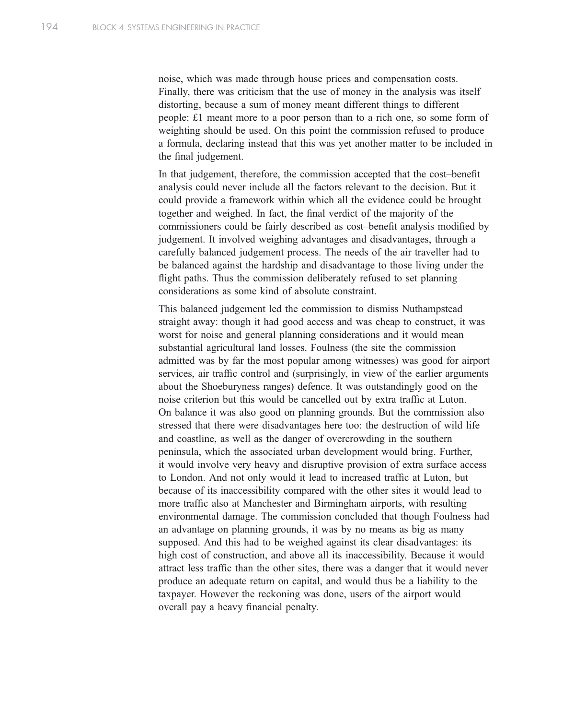noise, which was made through house prices and compensation costs. Finally, there was criticism that the use of money in the analysis was itself distorting, because a sum of money meant different things to different people: £1 meant more to a poor person than to a rich one, so some form of weighting should be used. On this point the commission refused to produce a formula, declaring instead that this was yet another matter to be included in the final judgement.

In that judgement, therefore, the commission accepted that the cost–benefit analysis could never include all the factors relevant to the decision. But it could provide a framework within which all the evidence could be brought together and weighed. In fact, the final verdict of the majority of the commissioners could be fairly described as cost–benefit analysis modified by judgement. It involved weighing advantages and disadvantages, through a carefully balanced judgement process. The needs of the air traveller had to be balanced against the hardship and disadvantage to those living under the flight paths. Thus the commission deliberately refused to set planning considerations as some kind of absolute constraint.

This balanced judgement led the commission to dismiss Nuthampstead straight away: though it had good access and was cheap to construct, it was worst for noise and general planning considerations and it would mean substantial agricultural land losses. Foulness (the site the commission admitted was by far the most popular among witnesses) was good for airport services, air traffic control and (surprisingly, in view of the earlier arguments about the Shoeburyness ranges) defence. It was outstandingly good on the noise criterion but this would be cancelled out by extra traffic at Luton. On balance it was also good on planning grounds. But the commission also stressed that there were disadvantages here too: the destruction of wild life and coastline, as well as the danger of overcrowding in the southern peninsula, which the associated urban development would bring. Further, it would involve very heavy and disruptive provision of extra surface access to London. And not only would it lead to increased traffic at Luton, but because of its inaccessibility compared with the other sites it would lead to more traffic also at Manchester and Birmingham airports, with resulting environmental damage. The commission concluded that though Foulness had an advantage on planning grounds, it was by no means as big as many supposed. And this had to be weighed against its clear disadvantages: its high cost of construction, and above all its inaccessibility. Because it would attract less traffic than the other sites, there was a danger that it would never produce an adequate return on capital, and would thus be a liability to the taxpayer. However the reckoning was done, users of the airport would overall pay a heavy financial penalty.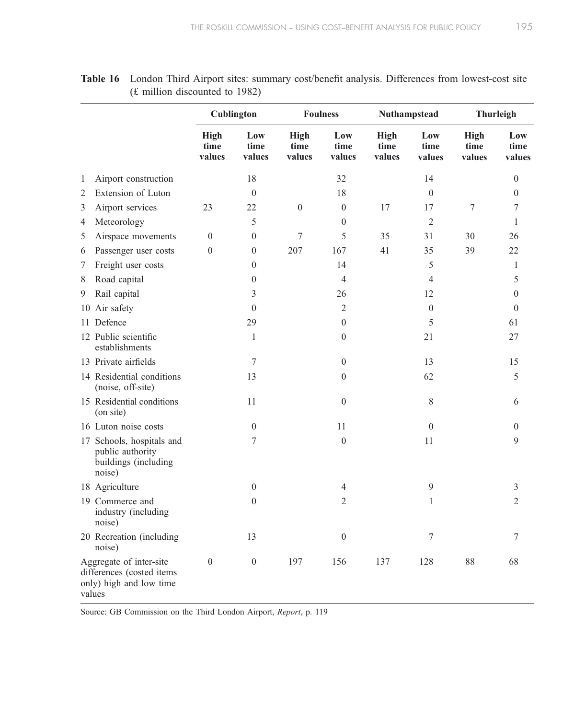|   |                                                                                           |                        | <b>Cublington</b>     |                               | <b>Foulness</b>       |                               | Nuthampstead          |                               | <b>Thurleigh</b>      |  |
|---|-------------------------------------------------------------------------------------------|------------------------|-----------------------|-------------------------------|-----------------------|-------------------------------|-----------------------|-------------------------------|-----------------------|--|
|   |                                                                                           | High<br>time<br>values | Low<br>time<br>values | <b>High</b><br>time<br>values | Low<br>time<br>values | <b>High</b><br>time<br>values | Low<br>time<br>values | <b>High</b><br>time<br>values | Low<br>time<br>values |  |
| 1 | Airport construction                                                                      |                        | 18                    |                               | 32                    |                               | 14                    |                               | $\boldsymbol{0}$      |  |
| 2 | Extension of Luton                                                                        |                        | $\boldsymbol{0}$      |                               | 18                    |                               | $\boldsymbol{0}$      |                               | $\theta$              |  |
| 3 | Airport services                                                                          | 23                     | 22                    | $\boldsymbol{0}$              | $\boldsymbol{0}$      | 17                            | 17                    | $\boldsymbol{7}$              | $\tau$                |  |
| 4 | Meteorology                                                                               |                        | 5                     |                               | $\boldsymbol{0}$      |                               | $\sqrt{2}$            |                               | $\mathbf{1}$          |  |
| 5 | Airspace movements                                                                        | $\boldsymbol{0}$       | $\boldsymbol{0}$      | $\boldsymbol{7}$              | 5                     | 35                            | 31                    | 30                            | 26                    |  |
| 6 | Passenger user costs                                                                      | $\boldsymbol{0}$       | $\boldsymbol{0}$      | 207                           | 167                   | 41                            | 35                    | 39                            | 22                    |  |
| 7 | Freight user costs                                                                        |                        | $\mathbf{0}$          |                               | 14                    |                               | 5                     |                               | $\mathbf{1}$          |  |
| 8 | Road capital                                                                              |                        | $\mathbf{0}$          |                               | $\overline{4}$        |                               | $\overline{4}$        |                               | 5                     |  |
| 9 | Rail capital                                                                              |                        | 3                     |                               | 26                    |                               | 12                    |                               | $\boldsymbol{0}$      |  |
|   | 10 Air safety                                                                             |                        | $\boldsymbol{0}$      |                               | $\overline{2}$        |                               | $\boldsymbol{0}$      |                               | $\boldsymbol{0}$      |  |
|   | 11 Defence                                                                                |                        | 29                    |                               | $\boldsymbol{0}$      |                               | 5                     |                               | 61                    |  |
|   | 12 Public scientific<br>establishments                                                    |                        | $\mathbf{1}$          |                               | $\boldsymbol{0}$      |                               | 21                    |                               | 27                    |  |
|   | 13 Private airfields                                                                      |                        | $\tau$                |                               | $\boldsymbol{0}$      |                               | 13                    |                               | 15                    |  |
|   | 14 Residential conditions<br>(noise, off-site)                                            |                        | 13                    |                               | $\theta$              |                               | 62                    |                               | 5                     |  |
|   | 15 Residential conditions<br>(on site)                                                    |                        | 11                    |                               | $\boldsymbol{0}$      |                               | $8\,$                 |                               | 6                     |  |
|   | 16 Luton noise costs                                                                      |                        | $\boldsymbol{0}$      |                               | 11                    |                               | $\boldsymbol{0}$      |                               | $\boldsymbol{0}$      |  |
|   | 17 Schools, hospitals and<br>public authority<br>buildings (including<br>noise)           |                        | 7                     |                               | $\boldsymbol{0}$      |                               | 11                    |                               | 9                     |  |
|   | 18 Agriculture                                                                            |                        | $\boldsymbol{0}$      |                               | 4                     |                               | $\overline{9}$        |                               | 3                     |  |
|   | 19 Commerce and<br>industry (including<br>noise)                                          |                        | $\boldsymbol{0}$      |                               | $\mathbf{2}$          |                               | $\mathbf{1}$          |                               | $\sqrt{2}$            |  |
|   | 20 Recreation (including<br>noise)                                                        |                        | 13                    |                               | $\boldsymbol{0}$      |                               | $\tau$                |                               | $\tau$                |  |
|   | Aggregate of inter-site<br>differences (costed items<br>only) high and low time<br>values | $\mathbf{0}$           | $\boldsymbol{0}$      | 197                           | 156                   | 137                           | 128                   | 88                            | 68                    |  |

Table 16 London Third Airport sites: summary cost/benefit analysis. Differences from lowest-cost site (£ million discounted to 1982)

Source: GB Commission on the Third London Airport, Report, p. 119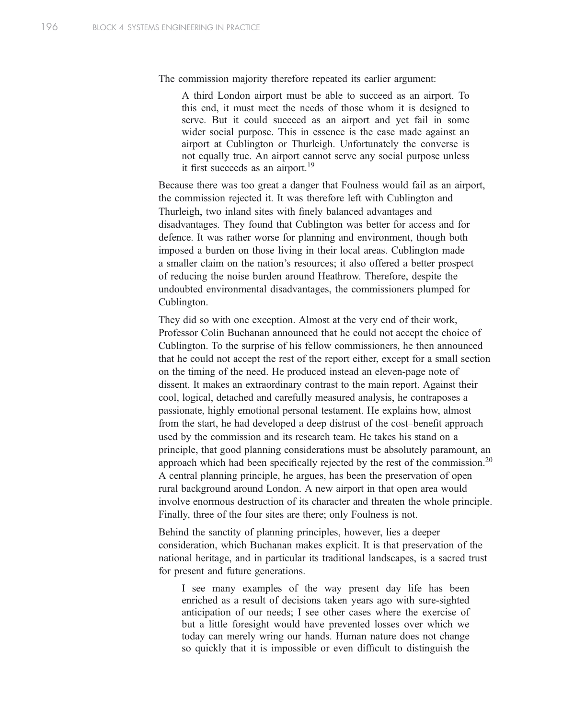The commission majority therefore repeated its earlier argument:

A third London airport must be able to succeed as an airport. To this end, it must meet the needs of those whom it is designed to serve. But it could succeed as an airport and yet fail in some wider social purpose. This in essence is the case made against an airport at Cublington or Thurleigh. Unfortunately the converse is not equally true. An airport cannot serve any social purpose unless it first succeeds as an airport.<sup>19</sup>

Because there was too great a danger that Foulness would fail as an airport, the commission rejected it. It was therefore left with Cublington and Thurleigh, two inland sites with finely balanced advantages and disadvantages. They found that Cublington was better for access and for defence. It was rather worse for planning and environment, though both imposed a burden on those living in their local areas. Cublington made a smaller claim on the nation's resources; it also offered a better prospect of reducing the noise burden around Heathrow. Therefore, despite the undoubted environmental disadvantages, the commissioners plumped for Cublington.

They did so with one exception. Almost at the very end of their work, Professor Colin Buchanan announced that he could not accept the choice of Cublington. To the surprise of his fellow commissioners, he then announced that he could not accept the rest of the report either, except for a small section on the timing of the need. He produced instead an eleven-page note of dissent. It makes an extraordinary contrast to the main report. Against their cool, logical, detached and carefully measured analysis, he contraposes a passionate, highly emotional personal testament. He explains how, almost from the start, he had developed a deep distrust of the cost–benefit approach used by the commission and its research team. He takes his stand on a principle, that good planning considerations must be absolutely paramount, an approach which had been specifically rejected by the rest of the commission.<sup>20</sup> A central planning principle, he argues, has been the preservation of open rural background around London. A new airport in that open area would involve enormous destruction of its character and threaten the whole principle. Finally, three of the four sites are there; only Foulness is not.

Behind the sanctity of planning principles, however, lies a deeper consideration, which Buchanan makes explicit. It is that preservation of the national heritage, and in particular its traditional landscapes, is a sacred trust for present and future generations.

I see many examples of the way present day life has been enriched as a result of decisions taken years ago with sure-sighted anticipation of our needs; I see other cases where the exercise of but a little foresight would have prevented losses over which we today can merely wring our hands. Human nature does not change so quickly that it is impossible or even difficult to distinguish the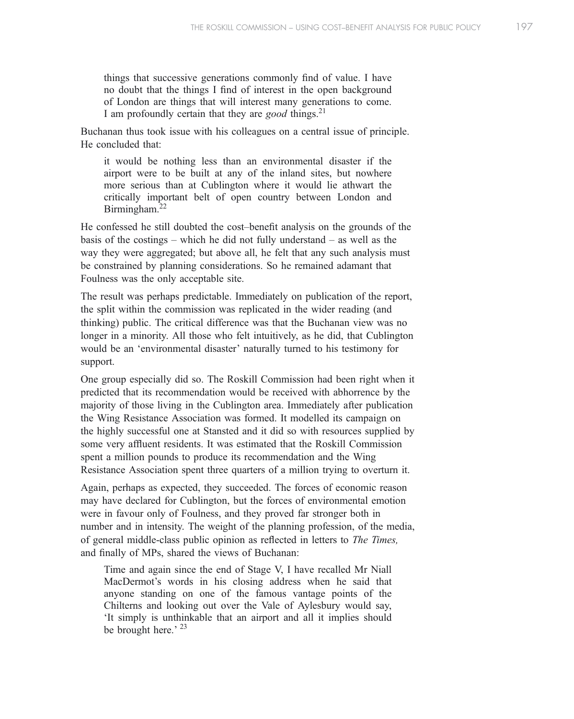things that successive generations commonly find of value. I have no doubt that the things I find of interest in the open background of London are things that will interest many generations to come. I am profoundly certain that they are good things.<sup>21</sup>

Buchanan thus took issue with his colleagues on a central issue of principle. He concluded that:

it would be nothing less than an environmental disaster if the airport were to be built at any of the inland sites, but nowhere more serious than at Cublington where it would lie athwart the critically important belt of open country between London and Birmingham.<sup>22</sup>

He confessed he still doubted the cost–benefit analysis on the grounds of the basis of the costings – which he did not fully understand – as well as the way they were aggregated; but above all, he felt that any such analysis must be constrained by planning considerations. So he remained adamant that Foulness was the only acceptable site.

The result was perhaps predictable. Immediately on publication of the report, the split within the commission was replicated in the wider reading (and thinking) public. The critical difference was that the Buchanan view was no longer in a minority. All those who felt intuitively, as he did, that Cublington would be an 'environmental disaster' naturally turned to his testimony for support.

One group especially did so. The Roskill Commission had been right when it predicted that its recommendation would be received with abhorrence by the majority of those living in the Cublington area. Immediately after publication the Wing Resistance Association was formed. It modelled its campaign on the highly successful one at Stansted and it did so with resources supplied by some very affluent residents. It was estimated that the Roskill Commission spent a million pounds to produce its recommendation and the Wing Resistance Association spent three quarters of a million trying to overturn it.

Again, perhaps as expected, they succeeded. The forces of economic reason may have declared for Cublington, but the forces of environmental emotion were in favour only of Foulness, and they proved far stronger both in number and in intensity. The weight of the planning profession, of the media, of general middle-class public opinion as reflected in letters to The Times, and finally of MPs, shared the views of Buchanan:

Time and again since the end of Stage V, I have recalled Mr Niall MacDermot's words in his closing address when he said that anyone standing on one of the famous vantage points of the Chilterns and looking out over the Vale of Aylesbury would say, 'It simply is unthinkable that an airport and all it implies should be brought here.' 23